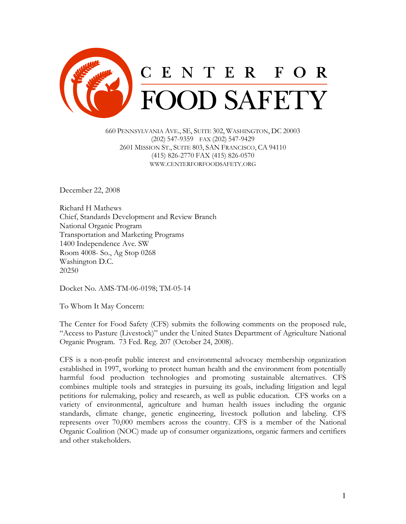

660 PENNSYLVANIA AVE., SE, SUITE 302, WASHINGTON, DC 20003 (202) 547-9359 FAX (202) 547-9429 2601 MISSION ST., SUITE 803, SAN FRANCISCO, CA 94110 (415) 826-2770 FAX (415) 826-0570 WWW.CENTERFORFOODSAFETY.ORG

December 22, 2008

Richard H Mathews Chief, Standards Development and Review Branch National Organic Program Transportation and Marketing Programs 1400 Independence Ave. SW Room 4008- So., Ag Stop 0268 Washington D.C. 20250

Docket No. AMS-TM-06-0198; TM-05-14

To Whom It May Concern:

The Center for Food Safety (CFS) submits the following comments on the proposed rule, "Access to Pasture (Livestock)" under the United States Department of Agriculture National Organic Program. 73 Fed. Reg. 207 (October 24, 2008).

CFS is a non-profit public interest and environmental advocacy membership organization established in 1997, working to protect human health and the environment from potentially harmful food production technologies and promoting sustainable alternatives. CFS combines multiple tools and strategies in pursuing its goals, including litigation and legal petitions for rulemaking, policy and research, as well as public education. CFS works on a variety of environmental, agriculture and human health issues including the organic standards, climate change, genetic engineering, livestock pollution and labeling. CFS represents over 70,000 members across the country. CFS is a member of the National Organic Coalition (NOC) made up of consumer organizations, organic farmers and certifiers and other stakeholders.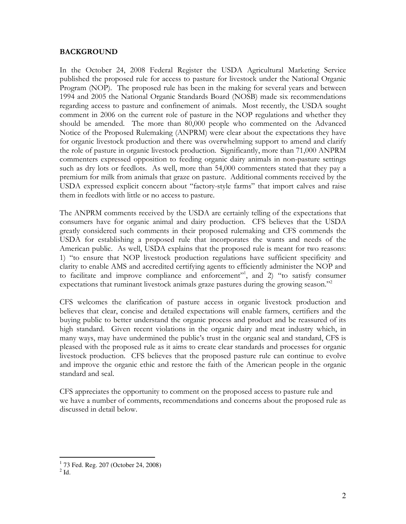#### BACKGROUND

In the October 24, 2008 Federal Register the USDA Agricultural Marketing Service published the proposed rule for access to pasture for livestock under the National Organic Program (NOP). The proposed rule has been in the making for several years and between 1994 and 2005 the National Organic Standards Board (NOSB) made six recommendations regarding access to pasture and confinement of animals. Most recently, the USDA sought comment in 2006 on the current role of pasture in the NOP regulations and whether they should be amended. The more than 80,000 people who commented on the Advanced Notice of the Proposed Rulemaking (ANPRM) were clear about the expectations they have for organic livestock production and there was overwhelming support to amend and clarify the role of pasture in organic livestock production. Significantly, more than 71,000 ANPRM commenters expressed opposition to feeding organic dairy animals in non-pasture settings such as dry lots or feedlots. As well, more than 54,000 commenters stated that they pay a premium for milk from animals that graze on pasture. Additional comments received by the USDA expressed explicit concern about "factory-style farms" that import calves and raise them in feedlots with little or no access to pasture.

The ANPRM comments received by the USDA are certainly telling of the expectations that consumers have for organic animal and dairy production. CFS believes that the USDA greatly considered such comments in their proposed rulemaking and CFS commends the USDA for establishing a proposed rule that incorporates the wants and needs of the American public. As well, USDA explains that the proposed rule is meant for two reasons: 1) "to ensure that NOP livestock production regulations have sufficient specificity and clarity to enable AMS and accredited certifying agents to efficiently administer the NOP and to facilitate and improve compliance and enforcement"<sup>1</sup>, and 2) "to satisfy consumer expectations that ruminant livestock animals graze pastures during the growing season."<sup>2</sup>

CFS welcomes the clarification of pasture access in organic livestock production and believes that clear, concise and detailed expectations will enable farmers, certifiers and the buying public to better understand the organic process and product and be reassured of its high standard. Given recent violations in the organic dairy and meat industry which, in many ways, may have undermined the public's trust in the organic seal and standard, CFS is pleased with the proposed rule as it aims to create clear standards and processes for organic livestock production. CFS believes that the proposed pasture rule can continue to evolve and improve the organic ethic and restore the faith of the American people in the organic standard and seal.

CFS appreciates the opportunity to comment on the proposed access to pasture rule and we have a number of comments, recommendations and concerns about the proposed rule as discussed in detail below.

 1 73 Fed. Reg. 207 (October 24, 2008)

 $2$  Id.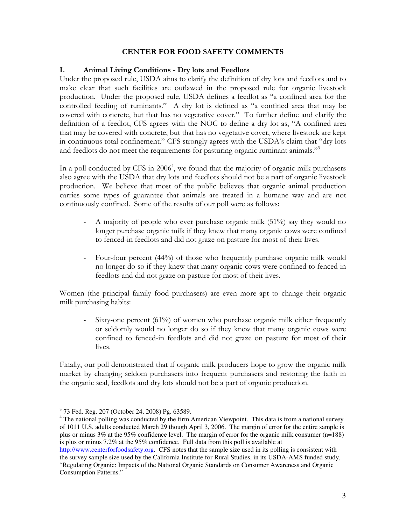#### CENTER FOR FOOD SAFETY COMMENTS

#### I. Animal Living Conditions - Dry lots and Feedlots

Under the proposed rule, USDA aims to clarify the definition of dry lots and feedlots and to make clear that such facilities are outlawed in the proposed rule for organic livestock production. Under the proposed rule, USDA defines a feedlot as "a confined area for the controlled feeding of ruminants." A dry lot is defined as "a confined area that may be covered with concrete, but that has no vegetative cover." To further define and clarify the definition of a feedlot, CFS agrees with the NOC to define a dry lot as, "A confined area that may be covered with concrete, but that has no vegetative cover, where livestock are kept in continuous total confinement." CFS strongly agrees with the USDA's claim that "dry lots and feedlots do not meet the requirements for pasturing organic ruminant animals."<sup>3</sup>

In a poll conducted by CFS in 2006<sup>4</sup>, we found that the majority of organic milk purchasers also agree with the USDA that dry lots and feedlots should not be a part of organic livestock production. We believe that most of the public believes that organic animal production carries some types of guarantee that animals are treated in a humane way and are not continuously confined. Some of the results of our poll were as follows:

- A majority of people who ever purchase organic milk (51%) say they would no longer purchase organic milk if they knew that many organic cows were confined to fenced-in feedlots and did not graze on pasture for most of their lives.
- Four-four percent (44%) of those who frequently purchase organic milk would no longer do so if they knew that many organic cows were confined to fenced-in feedlots and did not graze on pasture for most of their lives.

Women (the principal family food purchasers) are even more apt to change their organic milk purchasing habits:

Sixty-one percent (61%) of women who purchase organic milk either frequently or seldomly would no longer do so if they knew that many organic cows were confined to fenced-in feedlots and did not graze on pasture for most of their lives.

Finally, our poll demonstrated that if organic milk producers hope to grow the organic milk market by changing seldom purchasers into frequent purchasers and restoring the faith in the organic seal, feedlots and dry lots should not be a part of organic production.

 $\overline{a}$ 3 73 Fed. Reg. 207 (October 24, 2008) Pg. 63589.

<sup>&</sup>lt;sup>4</sup> The national polling was conducted by the firm American Viewpoint. This data is from a national survey of 1011 U.S. adults conducted March 29 though April 3, 2006. The margin of error for the entire sample is plus or minus 3% at the 95% confidence level. The margin of error for the organic milk consumer (n=188) is plus or minus  $7.2\%$  at the 95% confidence. Full data from this poll is available at

http://www.centerforfoodsafety.org. CFS notes that the sample size used in its polling is consistent with the survey sample size used by the California Institute for Rural Studies, in its USDA-AMS funded study, "Regulating Organic: Impacts of the National Organic Standards on Consumer Awareness and Organic Consumption Patterns."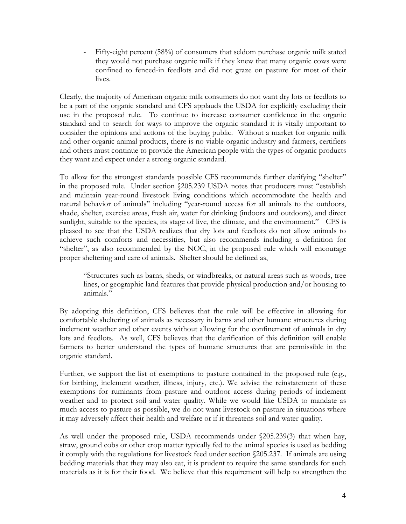- Fifty-eight percent (58%) of consumers that seldom purchase organic milk stated they would not purchase organic milk if they knew that many organic cows were confined to fenced-in feedlots and did not graze on pasture for most of their lives.

Clearly, the majority of American organic milk consumers do not want dry lots or feedlots to be a part of the organic standard and CFS applauds the USDA for explicitly excluding their use in the proposed rule. To continue to increase consumer confidence in the organic standard and to search for ways to improve the organic standard it is vitally important to consider the opinions and actions of the buying public. Without a market for organic milk and other organic animal products, there is no viable organic industry and farmers, certifiers and others must continue to provide the American people with the types of organic products they want and expect under a strong organic standard.

To allow for the strongest standards possible CFS recommends further clarifying "shelter" in the proposed rule. Under section §205.239 USDA notes that producers must "establish and maintain year-round livestock living conditions which accommodate the health and natural behavior of animals" including "year-round access for all animals to the outdoors, shade, shelter, exercise areas, fresh air, water for drinking (indoors and outdoors), and direct sunlight, suitable to the species, its stage of live, the climate, and the environment." CFS is pleased to see that the USDA realizes that dry lots and feedlots do not allow animals to achieve such comforts and necessities, but also recommends including a definition for "shelter", as also recommended by the NOC, in the proposed rule which will encourage proper sheltering and care of animals. Shelter should be defined as,

"Structures such as barns, sheds, or windbreaks, or natural areas such as woods, tree lines, or geographic land features that provide physical production and/or housing to animals."

By adopting this definition, CFS believes that the rule will be effective in allowing for comfortable sheltering of animals as necessary in barns and other humane structures during inclement weather and other events without allowing for the confinement of animals in dry lots and feedlots. As well, CFS believes that the clarification of this definition will enable farmers to better understand the types of humane structures that are permissible in the organic standard.

Further, we support the list of exemptions to pasture contained in the proposed rule (e.g., for birthing, inclement weather, illness, injury, etc.). We advise the reinstatement of these exemptions for ruminants from pasture and outdoor access during periods of inclement weather and to protect soil and water quality. While we would like USDA to mandate as much access to pasture as possible, we do not want livestock on pasture in situations where it may adversely affect their health and welfare or if it threatens soil and water quality.

As well under the proposed rule, USDA recommends under §205.239(3) that when hay, straw, ground cobs or other crop matter typically fed to the animal species is used as bedding it comply with the regulations for livestock feed under section §205.237. If animals are using bedding materials that they may also eat, it is prudent to require the same standards for such materials as it is for their food. We believe that this requirement will help to strengthen the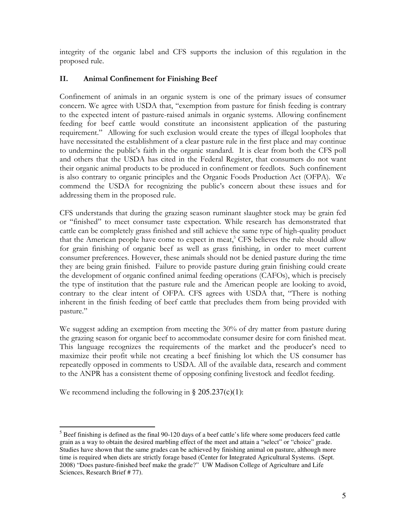integrity of the organic label and CFS supports the inclusion of this regulation in the proposed rule.

# II. Animal Confinement for Finishing Beef

Confinement of animals in an organic system is one of the primary issues of consumer concern. We agree with USDA that, "exemption from pasture for finish feeding is contrary to the expected intent of pasture-raised animals in organic systems. Allowing confinement feeding for beef cattle would constitute an inconsistent application of the pasturing requirement." Allowing for such exclusion would create the types of illegal loopholes that have necessitated the establishment of a clear pasture rule in the first place and may continue to undermine the public's faith in the organic standard. It is clear from both the CFS poll and others that the USDA has cited in the Federal Register, that consumers do not want their organic animal products to be produced in confinement or feedlots. Such confinement is also contrary to organic principles and the Organic Foods Production Act (OFPA). We commend the USDA for recognizing the public's concern about these issues and for addressing them in the proposed rule.

CFS understands that during the grazing season ruminant slaughter stock may be grain fed or "finished" to meet consumer taste expectation. While research has demonstrated that cattle can be completely grass finished and still achieve the same type of high-quality product that the American people have come to expect in meat,<sup>5</sup> CFS believes the rule should allow for grain finishing of organic beef as well as grass finishing, in order to meet current consumer preferences. However, these animals should not be denied pasture during the time they are being grain finished. Failure to provide pasture during grain finishing could create the development of organic confined animal feeding operations (CAFOs), which is precisely the type of institution that the pasture rule and the American people are looking to avoid, contrary to the clear intent of OFPA. CFS agrees with USDA that, "There is nothing inherent in the finish feeding of beef cattle that precludes them from being provided with pasture."

We suggest adding an exemption from meeting the 30% of dry matter from pasture during the grazing season for organic beef to accommodate consumer desire for corn finished meat. This language recognizes the requirements of the market and the producer's need to maximize their profit while not creating a beef finishing lot which the US consumer has repeatedly opposed in comments to USDA. All of the available data, research and comment to the ANPR has a consistent theme of opposing confining livestock and feedlot feeding.

We recommend including the following in  $\S 205.237(c)(1)$ :

 $\overline{a}$ 

 $<sup>5</sup>$  Beef finishing is defined as the final 90-120 days of a beef cattle's life where some producers feed cattle</sup> grain as a way to obtain the desired marbling effect of the meet and attain a "select" or "choice" grade. Studies have shown that the same grades can be achieved by finishing animal on pasture, although more time is required when diets are strictly forage based (Center for Integrated Agricultural Systems. (Sept. 2008) "Does pasture-finished beef make the grade?" UW Madison College of Agriculture and Life Sciences, Research Brief # 77).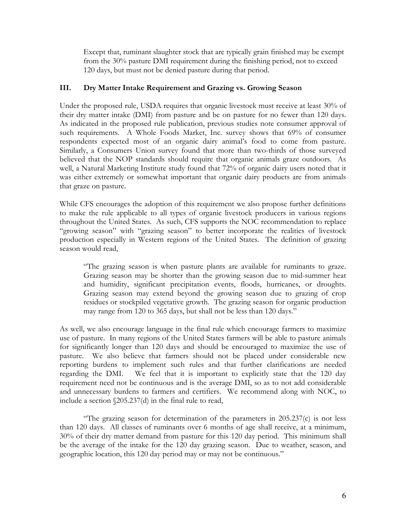Except that, ruminant slaughter stock that are typically grain finished may be exempt from the 30% pasture DMI requirement during the finishing period, not to exceed 120 days, but must not be denied pasture during that period.

### III. Dry Matter Intake Requirement and Grazing vs. Growing Season

Under the proposed rule, USDA requires that organic livestock must receive at least 30% of their dry matter intake (DMI) from pasture and be on pasture for no fewer than 120 days. As indicated in the proposed rule publication, previous studies note consumer approval of such requirements. A Whole Foods Market, Inc. survey shows that 69% of consumer respondents expected most of an organic dairy animal's food to come from pasture. Similarly, a Consumers Union survey found that more than two-thirds of those surveyed believed that the NOP standards should require that organic animals graze outdoors. As well, a Natural Marketing Institute study found that 72% of organic dairy users noted that it was either extremely or somewhat important that organic dairy products are from animals that graze on pasture.

While CFS encourages the adoption of this requirement we also propose further definitions to make the rule applicable to all types of organic livestock producers in various regions throughout the United States. As such, CFS supports the NOC recommendation to replace "growing season" with "grazing season" to better incorporate the realities of livestock production especially in Western regions of the United States. The definition of grazing season would read,

"The grazing season is when pasture plants are available for ruminants to graze. Grazing season may be shorter than the growing season due to mid-summer heat and humidity, significant precipitation events, floods, hurricanes, or droughts. Grazing season may extend beyond the growing season due to grazing of crop residues or stockpiled vegetative growth. The grazing season for organic production may range from 120 to 365 days, but shall not be less than 120 days."

As well, we also encourage language in the final rule which encourage farmers to maximize use of pasture. In many regions of the United States farmers will be able to pasture animals for significantly longer than 120 days and should be encouraged to maximize the use of pasture. We also believe that farmers should not be placed under considerable new reporting burdens to implement such rules and that further clarifications are needed regarding the DMI. We feel that it is important to explicitly state that the 120 day requirement need not be continuous and is the average DMI, so as to not add considerable and unnecessary burdens to farmers and certifiers. We recommend along with NOC, to include a section §205.237(d) in the final rule to read,

"The grazing season for determination of the parameters in 205.237(c) is not less than 120 days. All classes of ruminants over 6 months of age shall receive, at a minimum, 30% of their dry matter demand from pasture for this 120 day period. This minimum shall be the average of the intake for the 120 day grazing season. Due to weather, season, and geographic location, this 120 day period may or may not be continuous."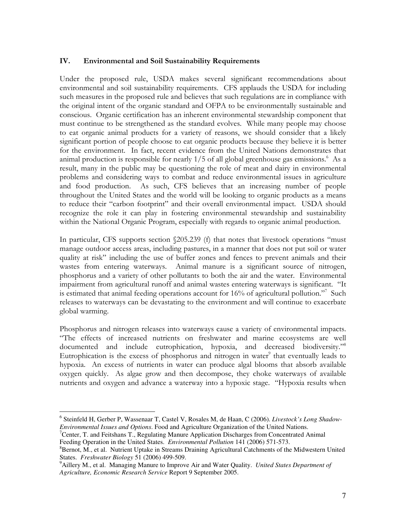### IV. Environmental and Soil Sustainability Requirements

Under the proposed rule, USDA makes several significant recommendations about environmental and soil sustainability requirements. CFS applauds the USDA for including such measures in the proposed rule and believes that such regulations are in compliance with the original intent of the organic standard and OFPA to be environmentally sustainable and conscious. Organic certification has an inherent environmental stewardship component that must continue to be strengthened as the standard evolves. While many people may choose to eat organic animal products for a variety of reasons, we should consider that a likely significant portion of people choose to eat organic products because they believe it is better for the environment. In fact, recent evidence from the United Nations demonstrates that animal production is responsible for nearly 1/5 of all global greenhouse gas emissions.<sup>6</sup> As a result, many in the public may be questioning the role of meat and dairy in environmental problems and considering ways to combat and reduce environmental issues in agriculture and food production. As such, CFS believes that an increasing number of people throughout the United States and the world will be looking to organic products as a means to reduce their "carbon footprint" and their overall environmental impact. USDA should recognize the role it can play in fostering environmental stewardship and sustainability within the National Organic Program, especially with regards to organic animal production.

In particular, CFS supports section §205.239 (f) that notes that livestock operations "must manage outdoor access areas, including pastures, in a manner that does not put soil or water quality at risk" including the use of buffer zones and fences to prevent animals and their wastes from entering waterways. Animal manure is a significant source of nitrogen, phosphorus and a variety of other pollutants to both the air and the water. Environmental impairment from agricultural runoff and animal wastes entering waterways is significant. "It is estimated that animal feeding operations account for 16% of agricultural pollution."<sup>7</sup> Such releases to waterways can be devastating to the environment and will continue to exacerbate global warming.

Phosphorus and nitrogen releases into waterways cause a variety of environmental impacts. "The effects of increased nutrients on freshwater and marine ecosystems are well documented and include eutrophication, hypoxia, and decreased biodiversity."<sup>8</sup> Eutrophication is the excess of phosphorus and nitrogen in water $\degree$  that eventually leads to hypoxia. An excess of nutrients in water can produce algal blooms that absorb available oxygen quickly. As algae grow and then decompose, they choke waterways of available nutrients and oxygen and advance a waterway into a hypoxic stage. "Hypoxia results when

 $\overline{a}$ 6 Steinfeld H, Gerber P, Wassenaar T, Castel V, Rosales M, de Haan, C (2006). *Livestock's Long Shadow-Environmental Issues and Options*. Food and Agriculture Organization of the United Nations.

<sup>7</sup>Center, T. and Feitshans T., Regulating Manure Application Discharges from Concentrated Animal Feeding Operation in the United States. *Environmental Pollution* 141 (2006) 571-573.

<sup>&</sup>lt;sup>8</sup>Bernot, M., et al. Nutrient Uptake in Streams Draining Agricultural Catchments of the Midwestern United States. *Freshwater Biology* 51 (2006) 499-509.

<sup>9</sup>Aillery M., et al. Managing Manure to Improve Air and Water Quality. *United States Department of Agriculture, Economic Research Service* Report 9 September 2005.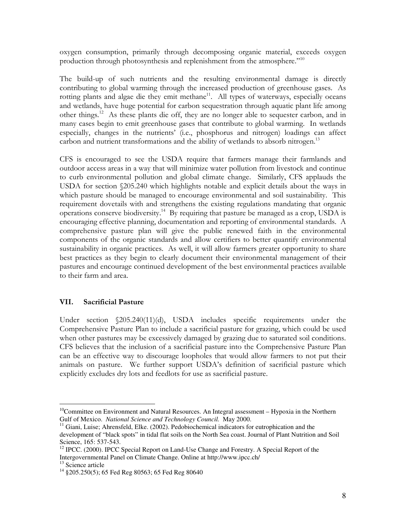oxygen consumption, primarily through decomposing organic material, exceeds oxygen production through photosynthesis and replenishment from the atmosphere."<sup>10</sup>

The build-up of such nutrients and the resulting environmental damage is directly contributing to global warming through the increased production of greenhouse gases. As rotting plants and algae die they emit methane<sup>11</sup>. All types of waterways, especially oceans and wetlands, have huge potential for carbon sequestration through aquatic plant life among other things.<sup>12</sup> As these plants die off, they are no longer able to sequester carbon, and in many cases begin to emit greenhouse gases that contribute to global warming. In wetlands especially, changes in the nutrients' (i.e., phosphorus and nitrogen) loadings can affect carbon and nutrient transformations and the ability of wetlands to absorb nitrogen.<sup>13</sup>

CFS is encouraged to see the USDA require that farmers manage their farmlands and outdoor access areas in a way that will minimize water pollution from livestock and continue to curb environmental pollution and global climate change. Similarly, CFS applauds the USDA for section §205.240 which highlights notable and explicit details about the ways in which pasture should be managed to encourage environmental and soil sustainability. This requirement dovetails with and strengthens the existing regulations mandating that organic operations conserve biodiversity.<sup>14</sup> By requiring that pasture be managed as a crop, USDA is encouraging effective planning, documentation and reporting of environmental standards. A comprehensive pasture plan will give the public renewed faith in the environmental components of the organic standards and allow certifiers to better quantify environmental sustainability in organic practices. As well, it will allow farmers greater opportunity to share best practices as they begin to clearly document their environmental management of their pastures and encourage continued development of the best environmental practices available to their farm and area.

### VII. Sacrificial Pasture

Under section §205.240(11)(d), USDA includes specific requirements under the Comprehensive Pasture Plan to include a sacrificial pasture for grazing, which could be used when other pastures may be excessively damaged by grazing due to saturated soil conditions. CFS believes that the inclusion of a sacrificial pasture into the Comprehensive Pasture Plan can be an effective way to discourage loopholes that would allow farmers to not put their animals on pasture. We further support USDA's definition of sacrificial pasture which explicitly excludes dry lots and feedlots for use as sacrificial pasture.

 $\overline{a}$ 

 $10$ Committee on Environment and Natural Resources. An Integral assessment – Hypoxia in the Northern Gulf of Mexico. *National Science and Technology Council.* May 2000.

 $11$  Giani, Luise; Ahrensfeld, Elke. (2002). Pedobiochemical indicators for eutrophication and the development of "black spots" in tidal flat soils on the North Sea coast. Journal of Plant Nutrition and Soil Science, 165: 537-543.

 $12$  IPCC. (2000). IPCC Special Report on Land-Use Change and Forestry. A Special Report of the Intergovernmental Panel on Climate Change. Online at http://www.ipcc.ch/

<sup>&</sup>lt;sup>13</sup> Science article

<sup>&</sup>lt;sup>14</sup> §205.250(5); 65 Fed Reg 80563; 65 Fed Reg 80640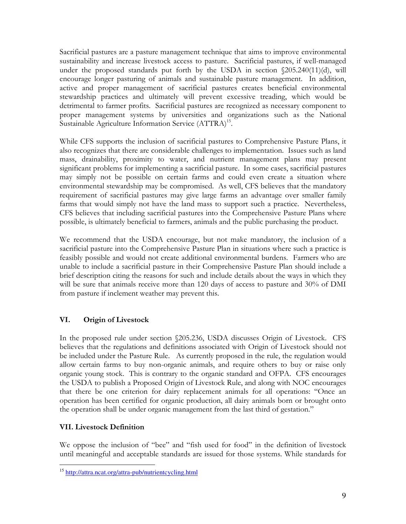Sacrificial pastures are a pasture management technique that aims to improve environmental sustainability and increase livestock access to pasture. Sacrificial pastures, if well-managed under the proposed standards put forth by the USDA in section §205.240(11)(d), will encourage longer pasturing of animals and sustainable pasture management. In addition, active and proper management of sacrificial pastures creates beneficial environmental stewardship practices and ultimately will prevent excessive treading, which would be detrimental to farmer profits. Sacrificial pastures are recognized as necessary component to proper management systems by universities and organizations such as the National Sustainable Agriculture Information Service (ATTRA)<sup>15</sup>.

While CFS supports the inclusion of sacrificial pastures to Comprehensive Pasture Plans, it also recognizes that there are considerable challenges to implementation. Issues such as land mass, drainability, proximity to water, and nutrient management plans may present significant problems for implementing a sacrificial pasture. In some cases, sacrificial pastures may simply not be possible on certain farms and could even create a situation where environmental stewardship may be compromised. As well, CFS believes that the mandatory requirement of sacrificial pastures may give large farms an advantage over smaller family farms that would simply not have the land mass to support such a practice. Nevertheless, CFS believes that including sacrificial pastures into the Comprehensive Pasture Plans where possible, is ultimately beneficial to farmers, animals and the public purchasing the product.

We recommend that the USDA encourage, but not make mandatory, the inclusion of a sacrificial pasture into the Comprehensive Pasture Plan in situations where such a practice is feasibly possible and would not create additional environmental burdens. Farmers who are unable to include a sacrificial pasture in their Comprehensive Pasture Plan should include a brief description citing the reasons for such and include details about the ways in which they will be sure that animals receive more than 120 days of access to pasture and 30% of DMI from pasture if inclement weather may prevent this.

# VI. Origin of Livestock

In the proposed rule under section §205.236, USDA discusses Origin of Livestock. CFS believes that the regulations and definitions associated with Origin of Livestock should not be included under the Pasture Rule. As currently proposed in the rule, the regulation would allow certain farms to buy non-organic animals, and require others to buy or raise only organic young stock. This is contrary to the organic standard and OFPA. CFS encourages the USDA to publish a Proposed Origin of Livestock Rule, and along with NOC encourages that there be one criterion for dairy replacement animals for all operations: "Once an operation has been certified for organic production, all dairy animals born or brought onto the operation shall be under organic management from the last third of gestation."

# VII. Livestock Definition

We oppose the inclusion of "bee" and "fish used for food" in the definition of livestock until meaningful and acceptable standards are issued for those systems. While standards for

l <sup>15</sup> http://attra.ncat.org/attra-pub/nutrientcycling.html